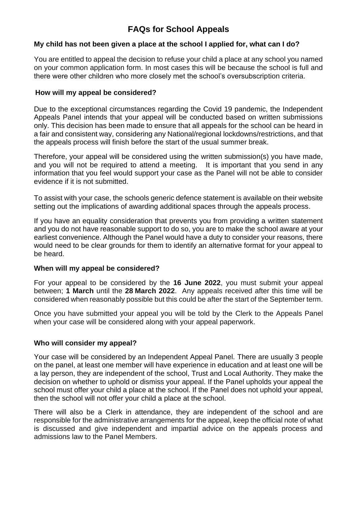# **FAQs for School Appeals**

# **My child has not been given a place at the school I applied for, what can I do?**

You are entitled to appeal the decision to refuse your child a place at any school you named on your common application form. In most cases this will be because the school is full and there were other children who more closely met the school's oversubscription criteria.

#### **How will my appeal be considered?**

Due to the exceptional circumstances regarding the Covid 19 pandemic, the Independent Appeals Panel intends that your appeal will be conducted based on written submissions only. This decision has been made to ensure that all appeals for the school can be heard in a fair and consistent way, considering any National/regional lockdowns/restrictions, and that the appeals process will finish before the start of the usual summer break.

Therefore, your appeal will be considered using the written submission(s) you have made, and you will not be required to attend a meeting. It is important that you send in any information that you feel would support your case as the Panel will not be able to consider evidence if it is not submitted.

To assist with your case, the schools generic defence statement is available on their website setting out the implications of awarding additional spaces through the appeals process.

If you have an equality consideration that prevents you from providing a written statement and you do not have reasonable support to do so, you are to make the school aware at your earliest convenience. Although the Panel would have a duty to consider your reasons, there would need to be clear grounds for them to identify an alternative format for your appeal to be heard.

#### **When will my appeal be considered?**

For your appeal to be considered by the **16 June 2022**, you must submit your appeal between; **1 March** until the **28 March 2022**. Any appeals received after this time will be considered when reasonably possible but this could be after the start of the September term.

Once you have submitted your appeal you will be told by the Clerk to the Appeals Panel when your case will be considered along with your appeal paperwork.

#### **Who will consider my appeal?**

Your case will be considered by an Independent Appeal Panel. There are usually 3 people on the panel, at least one member will have experience in education and at least one will be a lay person, they are independent of the school, Trust and Local Authority. They make the decision on whether to uphold or dismiss your appeal. If the Panel upholds your appeal the school must offer your child a place at the school. If the Panel does not uphold your appeal, then the school will not offer your child a place at the school.

There will also be a Clerk in attendance, they are independent of the school and are responsible for the administrative arrangements for the appeal, keep the official note of what is discussed and give independent and impartial advice on the appeals process and admissions law to the Panel Members.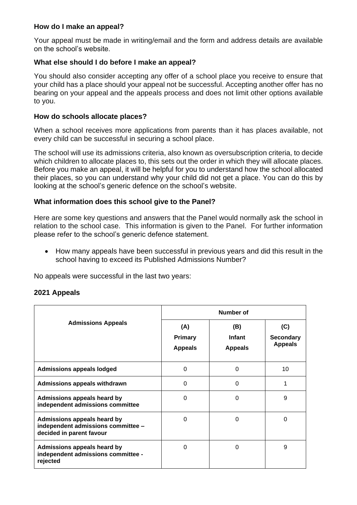#### **How do I make an appeal?**

Your appeal must be made in writing/email and the form and address details are available on the school's website.

# **What else should I do before I make an appeal?**

You should also consider accepting any offer of a school place you receive to ensure that your child has a place should your appeal not be successful. Accepting another offer has no bearing on your appeal and the appeals process and does not limit other options available to you.

#### **How do schools allocate places?**

When a school receives more applications from parents than it has places available, not every child can be successful in securing a school place.

The school will use its admissions criteria, also known as oversubscription criteria, to decide which children to allocate places to, this sets out the order in which they will allocate places. Before you make an appeal, it will be helpful for you to understand how the school allocated their places, so you can understand why your child did not get a place. You can do this by looking at the school's generic defence on the school's website.

# **What information does this school give to the Panel?**

Here are some key questions and answers that the Panel would normally ask the school in relation to the school case. This information is given to the Panel. For further information please refer to the school's generic defence statement.

• How many appeals have been successful in previous years and did this result in the school having to exceed its Published Admissions Number?

No appeals were successful in the last two years:

#### **2021 Appeals**

| <b>Admissions Appeals</b>                                                                     | Number of                        |                                 |                                           |
|-----------------------------------------------------------------------------------------------|----------------------------------|---------------------------------|-------------------------------------------|
|                                                                                               | (A)<br>Primary<br><b>Appeals</b> | (B)<br>Infant<br><b>Appeals</b> | (C)<br><b>Secondary</b><br><b>Appeals</b> |
| <b>Admissions appeals lodged</b>                                                              | 0                                | $\Omega$                        | 10                                        |
| Admissions appeals withdrawn                                                                  | 0                                | 0                               |                                           |
| Admissions appeals heard by<br>independent admissions committee                               | $\Omega$                         | 0                               | 9                                         |
| Admissions appeals heard by<br>independent admissions committee -<br>decided in parent favour | $\Omega$                         | $\Omega$                        | $\Omega$                                  |
| Admissions appeals heard by<br>independent admissions committee -<br>rejected                 | 0                                | 0                               | 9                                         |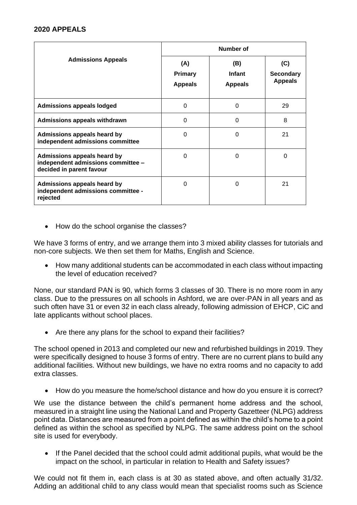#### **2020 APPEALS**

| <b>Admissions Appeals</b>                                                                     | <b>Number of</b>                        |                                 |                                           |
|-----------------------------------------------------------------------------------------------|-----------------------------------------|---------------------------------|-------------------------------------------|
|                                                                                               | (A)<br><b>Primary</b><br><b>Appeals</b> | (B)<br>Infant<br><b>Appeals</b> | (C)<br><b>Secondary</b><br><b>Appeals</b> |
| <b>Admissions appeals lodged</b>                                                              | $\Omega$                                | 0                               | 29                                        |
| <b>Admissions appeals withdrawn</b>                                                           | 0                                       | 0                               | 8                                         |
| <b>Admissions appeals heard by</b><br>independent admissions committee                        | $\Omega$                                | $\Omega$                        | 21                                        |
| Admissions appeals heard by<br>independent admissions committee -<br>decided in parent favour | $\Omega$                                | $\Omega$                        | 0                                         |
| <b>Admissions appeals heard by</b><br>independent admissions committee -<br>rejected          | 0                                       | 0                               | 21                                        |

• How do the school organise the classes?

We have 3 forms of entry, and we arrange them into 3 mixed ability classes for tutorials and non-core subjects. We then set them for Maths, English and Science.

• How many additional students can be accommodated in each class without impacting the level of education received?

None, our standard PAN is 90, which forms 3 classes of 30. There is no more room in any class. Due to the pressures on all schools in Ashford, we are over-PAN in all years and as such often have 31 or even 32 in each class already, following admission of EHCP, CiC and late applicants without school places.

• Are there any plans for the school to expand their facilities?

The school opened in 2013 and completed our new and refurbished buildings in 2019. They were specifically designed to house 3 forms of entry. There are no current plans to build any additional facilities. Without new buildings, we have no extra rooms and no capacity to add extra classes.

• How do you measure the home/school distance and how do you ensure it is correct?

We use the distance between the child's permanent home address and the school, measured in a straight line using the National Land and Property Gazetteer (NLPG) address point data. Distances are measured from a point defined as within the child's home to a point defined as within the school as specified by NLPG. The same address point on the school site is used for everybody.

• If the Panel decided that the school could admit additional pupils, what would be the impact on the school, in particular in relation to Health and Safety issues?

We could not fit them in, each class is at 30 as stated above, and often actually 31/32. Adding an additional child to any class would mean that specialist rooms such as Science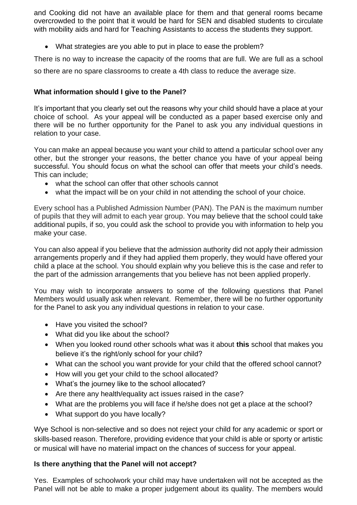and Cooking did not have an available place for them and that general rooms became overcrowded to the point that it would be hard for SEN and disabled students to circulate with mobility aids and hard for Teaching Assistants to access the students they support.

• What strategies are you able to put in place to ease the problem?

There is no way to increase the capacity of the rooms that are full. We are full as a school

so there are no spare classrooms to create a 4th class to reduce the average size.

# **What information should I give to the Panel?**

It's important that you clearly set out the reasons why your child should have a place at your choice of school. As your appeal will be conducted as a paper based exercise only and there will be no further opportunity for the Panel to ask you any individual questions in relation to your case.

You can make an appeal because you want your child to attend a particular school over any other, but the stronger your reasons, the better chance you have of your appeal being successful. You should focus on what the school can offer that meets your child's needs. This can include;

- what the school can offer that other schools cannot
- what the impact will be on your child in not attending the school of your choice.

Every school has a Published Admission Number (PAN). The PAN is the maximum number of pupils that they will admit to each year group. You may believe that the school could take additional pupils, if so, you could ask the school to provide you with information to help you make your case.

You can also appeal if you believe that the admission authority did not apply their admission arrangements properly and if they had applied them properly, they would have offered your child a place at the school. You should explain why you believe this is the case and refer to the part of the admission arrangements that you believe has not been applied properly.

You may wish to incorporate answers to some of the following questions that Panel Members would usually ask when relevant. Remember, there will be no further opportunity for the Panel to ask you any individual questions in relation to your case.

- Have you visited the school?
- What did you like about the school?
- When you looked round other schools what was it about **this** school that makes you believe it's the right/only school for your child?
- What can the school you want provide for your child that the offered school cannot?
- How will you get your child to the school allocated?
- What's the journey like to the school allocated?
- Are there any health/equality act issues raised in the case?
- What are the problems you will face if he/she does not get a place at the school?
- What support do you have locally?

Wye School is non-selective and so does not reject your child for any academic or sport or skills-based reason. Therefore, providing evidence that your child is able or sporty or artistic or musical will have no material impact on the chances of success for your appeal.

# **Is there anything that the Panel will not accept?**

Yes. Examples of schoolwork your child may have undertaken will not be accepted as the Panel will not be able to make a proper judgement about its quality. The members would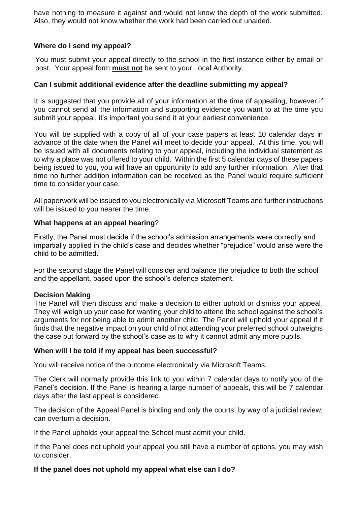have nothing to measure it against and would not know the depth of the work submitted. Also, they would not know whether the work had been carried out unaided.

# **Where do I send my appeal?**

You must submit your appeal directly to the school in the first instance either by email or post. Your appeal form **must not** be sent to your Local Authority.

### **Can I submit additional evidence after the deadline submitting my appeal?**

It is suggested that you provide all of your information at the time of appealing, however if you cannot send all the information and supporting evidence you want to at the time you submit your appeal, it's important you send it at your earliest convenience.

You will be supplied with a copy of all of your case papers at least 10 calendar days in advance of the date when the Panel will meet to decide your appeal. At this time, you will be issued with all documents relating to your appeal, including the individual statement as to why a place was not offered to your child. Within the first 5 calendar days of these papers being issued to you, you will have an opportunity to add any further information. After that time no further addition information can be received as the Panel would require sufficient time to consider your case.

All paperwork will be issued to you electronically via Microsoft Teams and further instructions will be issued to you nearer the time.

# **What happens at an appeal hearing**?

Firstly, the Panel must decide if the school's admission arrangements were correctly and impartially applied in the child's case and decides whether "prejudice" would arise were the child to be admitted.

For the second stage the Panel will consider and balance the prejudice to both the school and the appellant, based upon the school's defence statement.

#### **Decision Making**

The Panel will then discuss and make a decision to either uphold or dismiss your appeal. They will weigh up your case for wanting your child to attend the school against the school's arguments for not being able to admit another child. The Panel will uphold your appeal if it finds that the negative impact on your child of not attending your preferred school outweighs the case put forward by the school's case as to why it cannot admit any more pupils.

#### **When will I be told if my appeal has been successful?**

You will receive notice of the outcome electronically via Microsoft Teams.

The Clerk will normally provide this link to you within 7 calendar days to notify you of the Panel's decision. If the Panel is hearing a large number of appeals, this will be 7 calendar days after the last appeal is considered.

The decision of the Appeal Panel is binding and only the courts, by way of a judicial review, can overturn a decision.

If the Panel upholds your appeal the School must admit your child.

If the Panel does not uphold your appeal you still have a number of options, you may wish to consider.

#### **If the panel does not uphold my appeal what else can I do?**